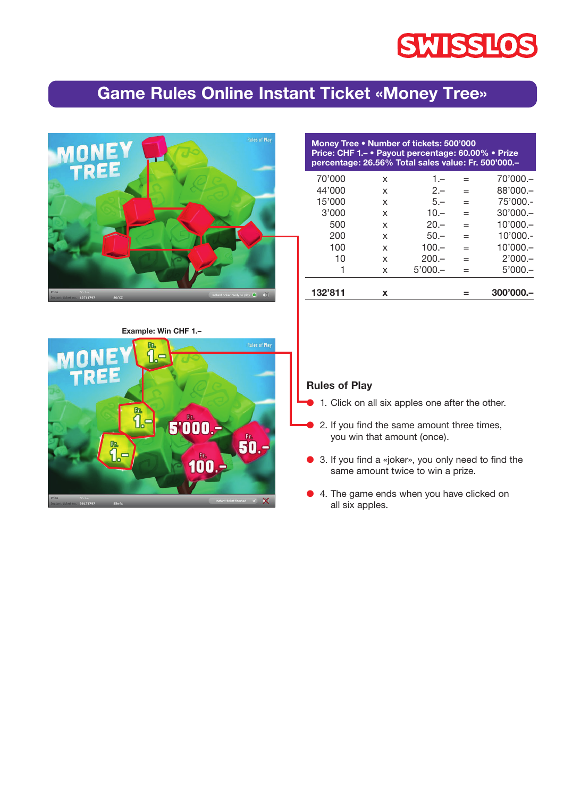# **SWISSLOS**

# **Game Rules Online Instant Ticket «Money Tree»**



| Money Tree • Number of tickets: 500'000<br>Price: CHF 1 .- • Payout percentage: 60.00% • Prize<br>percentage: 26.56% Total sales value: Fr. 500'000.- |   |           |     |            |
|-------------------------------------------------------------------------------------------------------------------------------------------------------|---|-----------|-----|------------|
| 70'000                                                                                                                                                | x | $1 -$     |     | $70'000 -$ |
| 44'000                                                                                                                                                | x | $2 -$     |     | $88'000 -$ |
| 15'000                                                                                                                                                | X | $5 -$     | $=$ | $75'000 -$ |
| 3'000                                                                                                                                                 | x | $10 -$    |     | $30'000 -$ |
| 500                                                                                                                                                   | x | $20 -$    | $=$ | $10'000 -$ |
| 200                                                                                                                                                   | x | $50 -$    | $=$ | $10'000 -$ |
| 100                                                                                                                                                   | x | $100 -$   | $=$ | $10'000 -$ |
| 10                                                                                                                                                    | x | $200 -$   | $=$ | $2'000 -$  |
|                                                                                                                                                       | x | $5'000 -$ |     | $5'000 -$  |
| 132'811                                                                                                                                               | x |           |     | 300'000.   |

**Example: Win CHF 1.–**



#### **Rules of Play**

- 1. Click on all six apples one after the other.
- 2. If you find the same amount three times, you win that amount (once).
- 3. If you find a «joker», you only need to find the same amount twice to win a prize.
- 4. The game ends when you have clicked on all six apples.